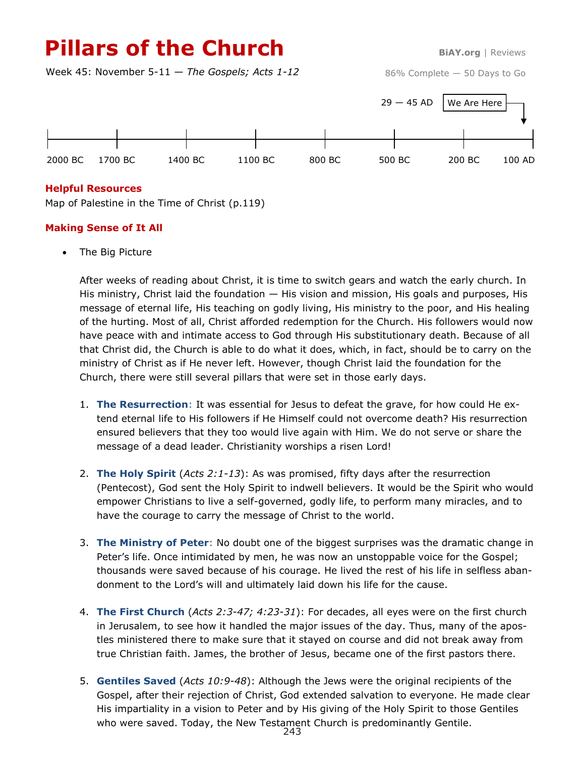# **Pillars of the Church BiAY.org** | Reviews

Week 45: November 5-11 — *The Gospels; Acts 1-12*

86% Complete — 50 Days to Go



#### **Helpful Resources**

Map of Palestine in the Time of Christ (p.119)

### **Making Sense of It All**

• The Big Picture

After weeks of reading about Christ, it is time to switch gears and watch the early church. In His ministry, Christ laid the foundation — His vision and mission, His goals and purposes, His message of eternal life, His teaching on godly living, His ministry to the poor, and His healing of the hurting. Most of all, Christ afforded redemption for the Church. His followers would now have peace with and intimate access to God through His substitutionary death. Because of all that Christ did, the Church is able to do what it does, which, in fact, should be to carry on the ministry of Christ as if He never left. However, though Christ laid the foundation for the Church, there were still several pillars that were set in those early days.

- 1. **The Resurrection**: It was essential for Jesus to defeat the grave, for how could He extend eternal life to His followers if He Himself could not overcome death? His resurrection ensured believers that they too would live again with Him. We do not serve or share the message of a dead leader. Christianity worships a risen Lord!
- 2. **The Holy Spirit** (*Acts 2:1-13*): As was promised, fifty days after the resurrection (Pentecost), God sent the Holy Spirit to indwell believers. It would be the Spirit who would empower Christians to live a self-governed, godly life, to perform many miracles, and to have the courage to carry the message of Christ to the world.
- 3. **The Ministry of Peter**: No doubt one of the biggest surprises was the dramatic change in Peter's life. Once intimidated by men, he was now an unstoppable voice for the Gospel; thousands were saved because of his courage. He lived the rest of his life in selfless abandonment to the Lord's will and ultimately laid down his life for the cause.
- 4. **The First Church** (*Acts 2:3-47; 4:23-31*): For decades, all eyes were on the first church in Jerusalem, to see how it handled the major issues of the day. Thus, many of the apostles ministered there to make sure that it stayed on course and did not break away from true Christian faith. James, the brother of Jesus, became one of the first pastors there.
- 5. **Gentiles Saved** (*Acts 10:9-48*): Although the Jews were the original recipients of the Gospel, after their rejection of Christ, God extended salvation to everyone. He made clear His impartiality in a vision to Peter and by His giving of the Holy Spirit to those Gentiles who were saved. Today, the New Testament Church is predominantly Gentile.